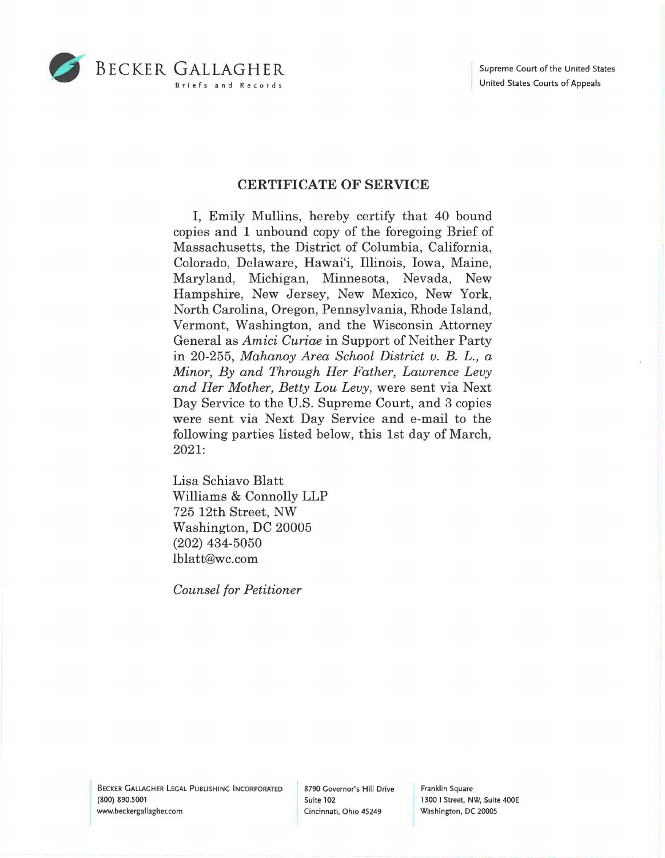



## **CERTIFICATE OF SERVICE**

I, Emily Mullins, hereby certify that 40 bound copies and 1 unbound copy of the foregoing Brief of Massachusetts, the District of Columbia, California, Colorado, Delaware, Hawai'i, Illinois, Iowa, Maine, Maryland, Michigan, Minnesota, Nevada, New Hampshire, New Jersey, New Mexico, New York, North Carolina, Oregon, Pennsylvania, Rhode Island, Vermont, Washington, and the Wisconsin Attorney General as *Amici Curiae* in Support of Neither Party in 20-255, *Mahanoy Area School District v. B. L., a Minor, By and Through Her Father, Lawrence Levy and Her Mother, Betty Lou Levy,* were sent via Next Day Service to the U.S. Supreme Court, and 3 copies were sent via Next Day Service and e-mail to the following parties listed below, this 1st day of March, 2021:

Lisa Schiavo Blatt Williams & Connolly LLP 725 12th Street, NW Washington, DC 20005 (202) 434-5050 lblatt@wc.com

*Counsel for Petitioner* 

BECKER GALLAGHER LEGAL PUBLISHING INCORPORATED (800) 890.5001 www.beckergallagher.com

8790 Governor's Hill Drive Suite 102 Cincinnati, Ohio 45249

Franklin Square 1300 I Street, NW, Suite 400E Washington, DC 20005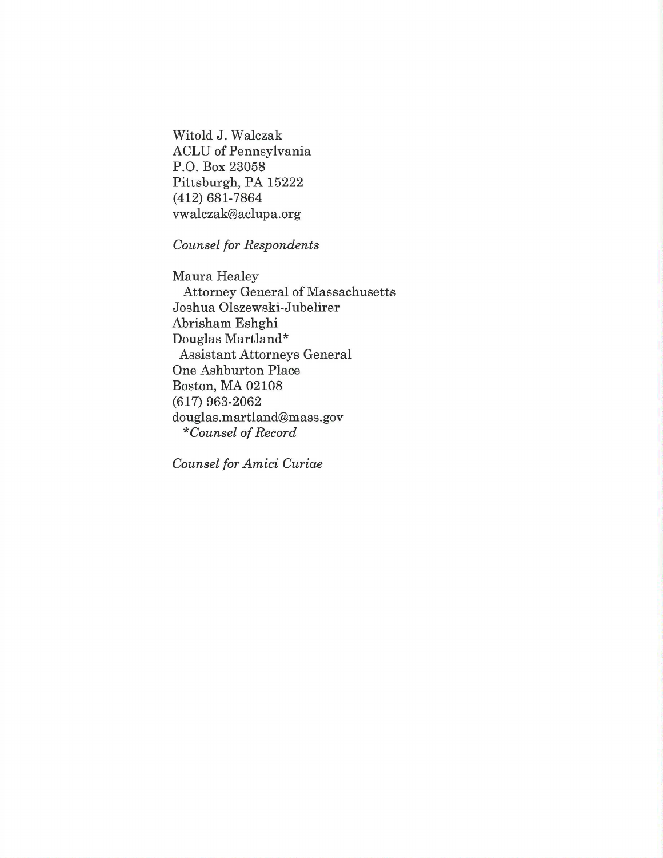Witold J. Walczak ACLU of Pennsylvania P.O. Box 23058 Pittsburgh, PA 15222 (412) 681-7864 vwalczak@aclupa.org

*Counsel for Respondents* 

Maura Healey Attorney General of Massachusetts Joshua Olszewski-Jubelirer Abrisham Eshghi Douglas Martland \* Assistant Attorneys General One Ashburton Place Boston, MA 02108 (617) 963-2062 douglas.martland@mass.gov *\*Counsel of Record* 

*Counsel for Amici Curiae*